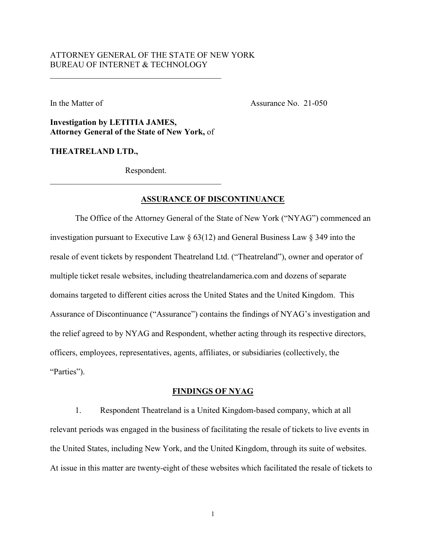# ATTORNEY GENERAL OF THE STATE OF NEW YORK BUREAU OF INTERNET & TECHNOLOGY

In the Matter of Assurance No. 21-050

**Investigation by LETITIA JAMES, Attorney General of the State of New York,** of

 $\overline{\mathcal{L}}$  , and the contribution of the contribution of  $\overline{\mathcal{L}}$ 

**THEATRELAND LTD.,** 

Respondent.

 $\overline{\mathcal{L}}$  , and the contribution of the contribution of  $\overline{\mathcal{L}}$ 

## **ASSURANCE OF DISCONTINUANCE**

The Office of the Attorney General of the State of New York ("NYAG") commenced an investigation pursuant to Executive Law § 63(12) and General Business Law § 349 into the resale of event tickets by respondent Theatreland Ltd. ("Theatreland"), owner and operator of multiple ticket resale websites, including theatrelandamerica.com and dozens of separate domains targeted to different cities across the United States and the United Kingdom. This Assurance of Discontinuance ("Assurance") contains the findings of NYAG's investigation and the relief agreed to by NYAG and Respondent, whether acting through its respective directors, officers, employees, representatives, agents, affiliates, or subsidiaries (collectively, the "Parties").

### **FINDINGS OF NYAG**

1. Respondent Theatreland is a United Kingdom-based company, which at all relevant periods was engaged in the business of facilitating the resale of tickets to live events in the United States, including New York, and the United Kingdom, through its suite of websites. At issue in this matter are twenty-eight of these websites which facilitated the resale of tickets to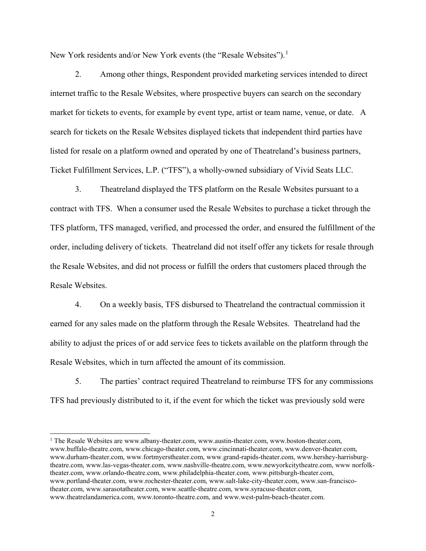New York residents and/or New York events (the "Resale Websites").<sup>1</sup>

2. Among other things, Respondent provided marketing services intended to direct internet traffic to the Resale Websites, where prospective buyers can search on the secondary market for tickets to events, for example by event type, artist or team name, venue, or date. A search for tickets on the Resale Websites displayed tickets that independent third parties have listed for resale on a platform owned and operated by one of Theatreland's business partners, Ticket Fulfillment Services, L.P. ("TFS"), a wholly-owned subsidiary of Vivid Seats LLC.

3. Theatreland displayed the TFS platform on the Resale Websites pursuant to a contract with TFS. When a consumer used the Resale Websites to purchase a ticket through the TFS platform, TFS managed, verified, and processed the order, and ensured the fulfillment of the order, including delivery of tickets. Theatreland did not itself offer any tickets for resale through the Resale Websites, and did not process or fulfill the orders that customers placed through the Resale Websites.

4. On a weekly basis, TFS disbursed to Theatreland the contractual commission it earned for any sales made on the platform through the Resale Websites. Theatreland had the ability to adjust the prices of or add service fees to tickets available on the platform through the Resale Websites, which in turn affected the amount of its commission.

5. The parties' contract required Theatreland to reimburse TFS for any commissions TFS had previously distributed to it, if the event for which the ticket was previously sold were

<sup>&</sup>lt;sup>1</sup> The Resale Websites are www.albany-theater.com, www.austin-theater.com, www.boston-theater.com, www.buffalo-theatre.com, www.chicago-theater.com, www.cincinnati-theater.com, www.denver-theater.com, www.durham-theater.com, www.fortmyerstheater.com, www.grand-rapids-theater.com, www.hershey-harrisburgtheatre.com, www.las-vegas-theater.com, www.nashville-theatre.com, www.newyorkcitytheatre.com, www norfolktheater.com, www.orlando-theatre.com, www.philadelphia-theater.com, www.pittsburgh-theater.com, www.portland-theater.com, www.rochester-theater.com, www.salt-lake-city-theater.com, www.san-franciscotheater.com, www.sarasotatheater.com, www.seattle-theatre.com, www.syracuse-theater.com, www.theatrelandamerica.com, www.toronto-theatre.com, and www.west-palm-beach-theater.com.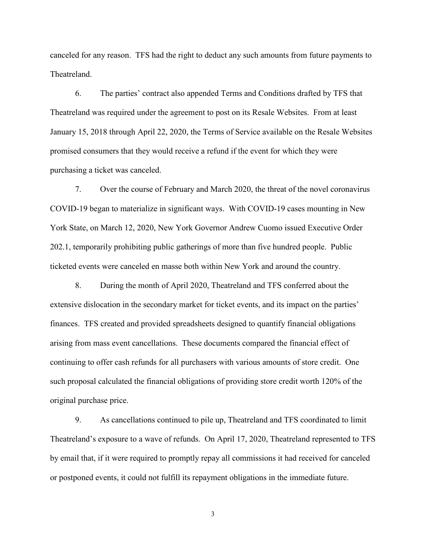canceled for any reason. TFS had the right to deduct any such amounts from future payments to Theatreland.

6. The parties' contract also appended Terms and Conditions drafted by TFS that Theatreland was required under the agreement to post on its Resale Websites. From at least January 15, 2018 through April 22, 2020, the Terms of Service available on the Resale Websites promised consumers that they would receive a refund if the event for which they were purchasing a ticket was canceled.

7. Over the course of February and March 2020, the threat of the novel coronavirus COVID-19 began to materialize in significant ways. With COVID-19 cases mounting in New York State, on March 12, 2020, New York Governor Andrew Cuomo issued Executive Order 202.1, temporarily prohibiting public gatherings of more than five hundred people. Public ticketed events were canceled en masse both within New York and around the country.

8. During the month of April 2020, Theatreland and TFS conferred about the extensive dislocation in the secondary market for ticket events, and its impact on the parties' finances. TFS created and provided spreadsheets designed to quantify financial obligations arising from mass event cancellations. These documents compared the financial effect of continuing to offer cash refunds for all purchasers with various amounts of store credit. One such proposal calculated the financial obligations of providing store credit worth 120% of the original purchase price.

9. As cancellations continued to pile up, Theatreland and TFS coordinated to limit Theatreland's exposure to a wave of refunds. On April 17, 2020, Theatreland represented to TFS by email that, if it were required to promptly repay all commissions it had received for canceled or postponed events, it could not fulfill its repayment obligations in the immediate future.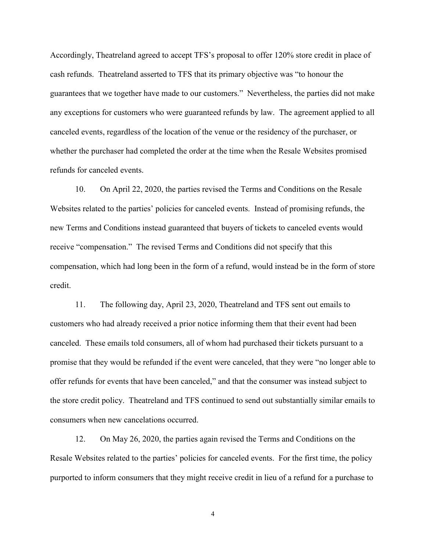Accordingly, Theatreland agreed to accept TFS's proposal to offer 120% store credit in place of cash refunds. Theatreland asserted to TFS that its primary objective was "to honour the guarantees that we together have made to our customers." Nevertheless, the parties did not make any exceptions for customers who were guaranteed refunds by law. The agreement applied to all canceled events, regardless of the location of the venue or the residency of the purchaser, or whether the purchaser had completed the order at the time when the Resale Websites promised refunds for canceled events.

10. On April 22, 2020, the parties revised the Terms and Conditions on the Resale Websites related to the parties' policies for canceled events. Instead of promising refunds, the new Terms and Conditions instead guaranteed that buyers of tickets to canceled events would receive "compensation." The revised Terms and Conditions did not specify that this compensation, which had long been in the form of a refund, would instead be in the form of store credit.

11. The following day, April 23, 2020, Theatreland and TFS sent out emails to customers who had already received a prior notice informing them that their event had been canceled. These emails told consumers, all of whom had purchased their tickets pursuant to a promise that they would be refunded if the event were canceled, that they were "no longer able to offer refunds for events that have been canceled," and that the consumer was instead subject to the store credit policy. Theatreland and TFS continued to send out substantially similar emails to consumers when new cancelations occurred.

12. On May 26, 2020, the parties again revised the Terms and Conditions on the Resale Websites related to the parties' policies for canceled events. For the first time, the policy purported to inform consumers that they might receive credit in lieu of a refund for a purchase to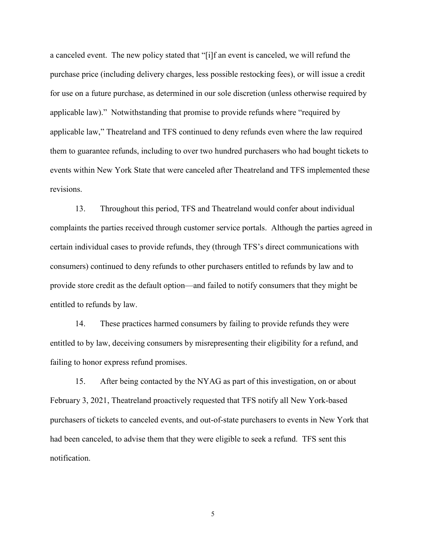a canceled event. The new policy stated that "[i]f an event is canceled, we will refund the purchase price (including delivery charges, less possible restocking fees), or will issue a credit for use on a future purchase, as determined in our sole discretion (unless otherwise required by applicable law)." Notwithstanding that promise to provide refunds where "required by applicable law," Theatreland and TFS continued to deny refunds even where the law required them to guarantee refunds, including to over two hundred purchasers who had bought tickets to events within New York State that were canceled after Theatreland and TFS implemented these revisions.

13. Throughout this period, TFS and Theatreland would confer about individual complaints the parties received through customer service portals. Although the parties agreed in certain individual cases to provide refunds, they (through TFS's direct communications with consumers) continued to deny refunds to other purchasers entitled to refunds by law and to provide store credit as the default option—and failed to notify consumers that they might be entitled to refunds by law.

14. These practices harmed consumers by failing to provide refunds they were entitled to by law, deceiving consumers by misrepresenting their eligibility for a refund, and failing to honor express refund promises.

15. After being contacted by the NYAG as part of this investigation, on or about February 3, 2021, Theatreland proactively requested that TFS notify all New York-based purchasers of tickets to canceled events, and out-of-state purchasers to events in New York that had been canceled, to advise them that they were eligible to seek a refund. TFS sent this notification.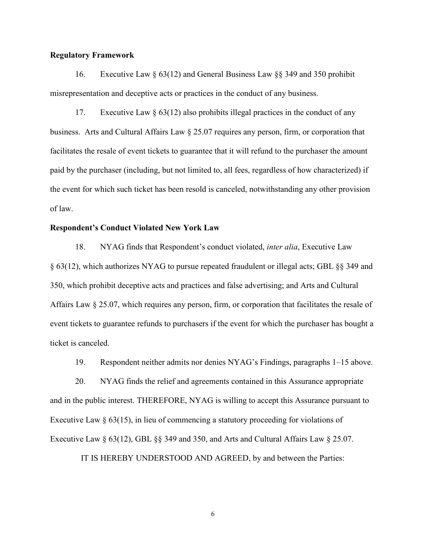## **Regulatory Framework**

16. Executive Law § 63(12) and General Business Law §§ 349 and 350 prohibit misrepresentation and deceptive acts or practices in the conduct of any business.

17. Executive Law  $\S 63(12)$  also prohibits illegal practices in the conduct of any business. Arts and Cultural Affairs Law § 25.07 requires any person, firm, or corporation that facilitates the resale of event tickets to guarantee that it will refund to the purchaser the amount paid by the purchaser (including, but not limited to, all fees, regardless of how characterized) if the event for which such ticket has been resold is canceled, notwithstanding any other provision of law.

## **Respondent's Conduct Violated New York Law**

18. NYAG finds that Respondent's conduct violated, *inter alia*, Executive Law § 63(12), which authorizes NYAG to pursue repeated fraudulent or illegal acts; GBL §§ 349 and 350, which prohibit deceptive acts and practices and false advertising; and Arts and Cultural Affairs Law § 25.07, which requires any person, firm, or corporation that facilitates the resale of event tickets to guarantee refunds to purchasers if the event for which the purchaser has bought a ticket is canceled.

19. Respondent neither admits nor denies NYAG's Findings, paragraphs 1–15 above.

20. NYAG finds the relief and agreements contained in this Assurance appropriate and in the public interest. THEREFORE, NYAG is willing to accept this Assurance pursuant to Executive Law  $\S 63(15)$ , in lieu of commencing a statutory proceeding for violations of Executive Law § 63(12), GBL §§ 349 and 350, and Arts and Cultural Affairs Law § 25.07.

IT IS HEREBY UNDERSTOOD AND AGREED, by and between the Parties: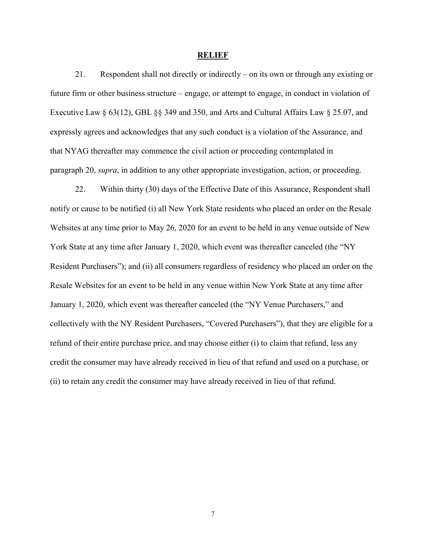#### **RELIEF**

21. Respondent shall not directly or indirectly – on its own or through any existing or future firm or other business structure – engage, or attempt to engage, in conduct in violation of Executive Law § 63(12), GBL §§ 349 and 350, and Arts and Cultural Affairs Law § 25.07, and expressly agrees and acknowledges that any such conduct is a violation of the Assurance, and that NYAG thereafter may commence the civil action or proceeding contemplated in paragraph 20, *supra*, in addition to any other appropriate investigation, action, or proceeding.

22. Within thirty (30) days of the Effective Date of this Assurance, Respondent shall notify or cause to be notified (i) all New York State residents who placed an order on the Resale Websites at any time prior to May 26, 2020 for an event to be held in any venue outside of New York State at any time after January 1, 2020, which event was thereafter canceled (the "NY Resident Purchasers"); and (ii) all consumers regardless of residency who placed an order on the Resale Websites for an event to be held in any venue within New York State at any time after January 1, 2020, which event was thereafter canceled (the "NY Venue Purchasers," and collectively with the NY Resident Purchasers, "Covered Purchasers"), that they are eligible for a refund of their entire purchase price, and may choose either (i) to claim that refund, less any credit the consumer may have already received in lieu of that refund and used on a purchase, or (ii) to retain any credit the consumer may have already received in lieu of that refund.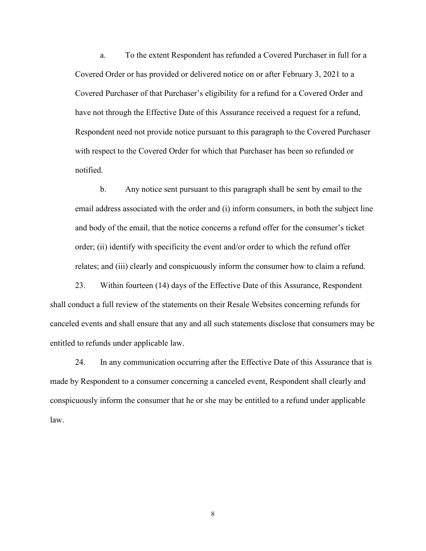a. To the extent Respondent has refunded a Covered Purchaser in full for a Covered Order or has provided or delivered notice on or after February 3, 2021 to a Covered Purchaser of that Purchaser's eligibility for a refund for a Covered Order and have not through the Effective Date of this Assurance received a request for a refund, Respondent need not provide notice pursuant to this paragraph to the Covered Purchaser with respect to the Covered Order for which that Purchaser has been so refunded or notified.

b. Any notice sent pursuant to this paragraph shall be sent by email to the email address associated with the order and (i) inform consumers, in both the subject line and body of the email, that the notice concerns a refund offer for the consumer's ticket order; (ii) identify with specificity the event and/or order to which the refund offer relates; and (iii) clearly and conspicuously inform the consumer how to claim a refund.

23. Within fourteen (14) days of the Effective Date of this Assurance, Respondent shall conduct a full review of the statements on their Resale Websites concerning refunds for canceled events and shall ensure that any and all such statements disclose that consumers may be entitled to refunds under applicable law.

24. In any communication occurring after the Effective Date of this Assurance that is made by Respondent to a consumer concerning a canceled event, Respondent shall clearly and conspicuously inform the consumer that he or she may be entitled to a refund under applicable law.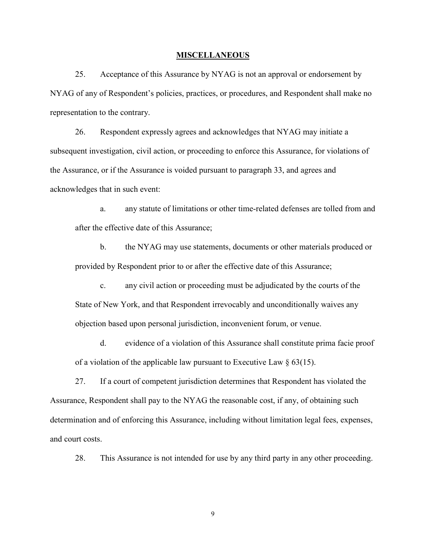#### **MISCELLANEOUS**

25. Acceptance of this Assurance by NYAG is not an approval or endorsement by NYAG of any of Respondent's policies, practices, or procedures, and Respondent shall make no representation to the contrary.

26. Respondent expressly agrees and acknowledges that NYAG may initiate a subsequent investigation, civil action, or proceeding to enforce this Assurance, for violations of the Assurance, or if the Assurance is voided pursuant to paragraph 33, and agrees and acknowledges that in such event:

a. any statute of limitations or other time-related defenses are tolled from and after the effective date of this Assurance;

b. the NYAG may use statements, documents or other materials produced or provided by Respondent prior to or after the effective date of this Assurance;

c. any civil action or proceeding must be adjudicated by the courts of the State of New York, and that Respondent irrevocably and unconditionally waives any objection based upon personal jurisdiction, inconvenient forum, or venue.

d. evidence of a violation of this Assurance shall constitute prima facie proof of a violation of the applicable law pursuant to Executive Law  $\S$  63(15).

27. If a court of competent jurisdiction determines that Respondent has violated the Assurance, Respondent shall pay to the NYAG the reasonable cost, if any, of obtaining such determination and of enforcing this Assurance, including without limitation legal fees, expenses, and court costs.

28. This Assurance is not intended for use by any third party in any other proceeding.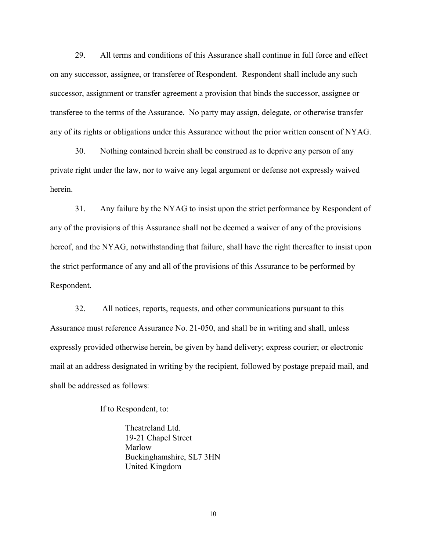29. All terms and conditions of this Assurance shall continue in full force and effect on any successor, assignee, or transferee of Respondent. Respondent shall include any such successor, assignment or transfer agreement a provision that binds the successor, assignee or transferee to the terms of the Assurance. No party may assign, delegate, or otherwise transfer any of its rights or obligations under this Assurance without the prior written consent of NYAG.

30. Nothing contained herein shall be construed as to deprive any person of any private right under the law, nor to waive any legal argument or defense not expressly waived herein.

31. Any failure by the NYAG to insist upon the strict performance by Respondent of any of the provisions of this Assurance shall not be deemed a waiver of any of the provisions hereof, and the NYAG, notwithstanding that failure, shall have the right thereafter to insist upon the strict performance of any and all of the provisions of this Assurance to be performed by Respondent.

32. All notices, reports, requests, and other communications pursuant to this Assurance must reference Assurance No. 21-050, and shall be in writing and shall, unless expressly provided otherwise herein, be given by hand delivery; express courier; or electronic mail at an address designated in writing by the recipient, followed by postage prepaid mail, and shall be addressed as follows:

If to Respondent, to:

Theatreland Ltd. 19-21 Chapel Street Marlow Buckinghamshire, SL7 3HN United Kingdom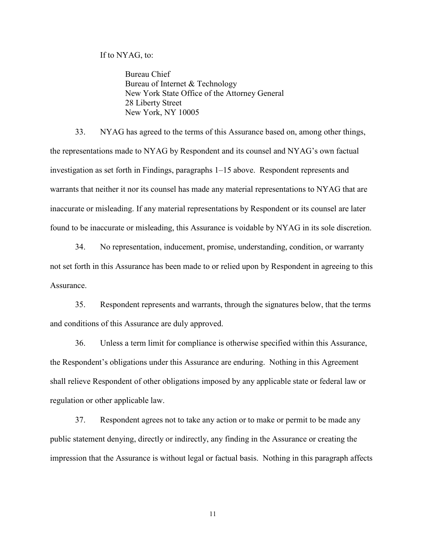If to NYAG, to:

Bureau Chief Bureau of Internet & Technology New York State Office of the Attorney General 28 Liberty Street New York, NY 10005

33. NYAG has agreed to the terms of this Assurance based on, among other things, the representations made to NYAG by Respondent and its counsel and NYAG's own factual investigation as set forth in Findings, paragraphs 1–15 above. Respondent represents and warrants that neither it nor its counsel has made any material representations to NYAG that are inaccurate or misleading. If any material representations by Respondent or its counsel are later found to be inaccurate or misleading, this Assurance is voidable by NYAG in its sole discretion.

34. No representation, inducement, promise, understanding, condition, or warranty not set forth in this Assurance has been made to or relied upon by Respondent in agreeing to this Assurance.

35. Respondent represents and warrants, through the signatures below, that the terms and conditions of this Assurance are duly approved.

36. Unless a term limit for compliance is otherwise specified within this Assurance, the Respondent's obligations under this Assurance are enduring. Nothing in this Agreement shall relieve Respondent of other obligations imposed by any applicable state or federal law or regulation or other applicable law.

37. Respondent agrees not to take any action or to make or permit to be made any public statement denying, directly or indirectly, any finding in the Assurance or creating the impression that the Assurance is without legal or factual basis. Nothing in this paragraph affects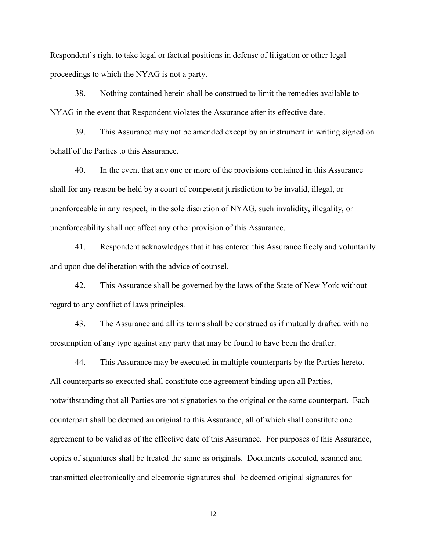Respondent's right to take legal or factual positions in defense of litigation or other legal proceedings to which the NYAG is not a party.

38. Nothing contained herein shall be construed to limit the remedies available to NYAG in the event that Respondent violates the Assurance after its effective date.

39. This Assurance may not be amended except by an instrument in writing signed on behalf of the Parties to this Assurance.

40. In the event that any one or more of the provisions contained in this Assurance shall for any reason be held by a court of competent jurisdiction to be invalid, illegal, or unenforceable in any respect, in the sole discretion of NYAG, such invalidity, illegality, or unenforceability shall not affect any other provision of this Assurance.

41. Respondent acknowledges that it has entered this Assurance freely and voluntarily and upon due deliberation with the advice of counsel.

42. This Assurance shall be governed by the laws of the State of New York without regard to any conflict of laws principles.

43. The Assurance and all its terms shall be construed as if mutually drafted with no presumption of any type against any party that may be found to have been the drafter.

44. This Assurance may be executed in multiple counterparts by the Parties hereto. All counterparts so executed shall constitute one agreement binding upon all Parties, notwithstanding that all Parties are not signatories to the original or the same counterpart. Each counterpart shall be deemed an original to this Assurance, all of which shall constitute one agreement to be valid as of the effective date of this Assurance. For purposes of this Assurance, copies of signatures shall be treated the same as originals. Documents executed, scanned and transmitted electronically and electronic signatures shall be deemed original signatures for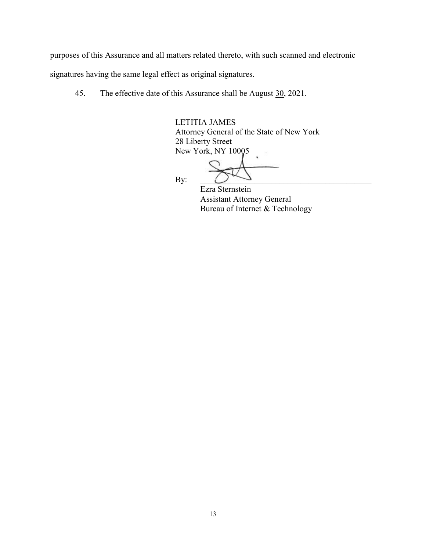purposes of this Assurance and all matters related thereto, with such scanned and electronic

signatures having the same legal effect as original signatures.

45. The effective date of this Assurance shall be August 30, 2021.

LETITIA JAMES Attorney General of the State of New York 28 Liberty Street New York, NY 10005

By:  $\Box$ Ezra Sternstein Assistant Attorney General Bureau of Internet & Technology